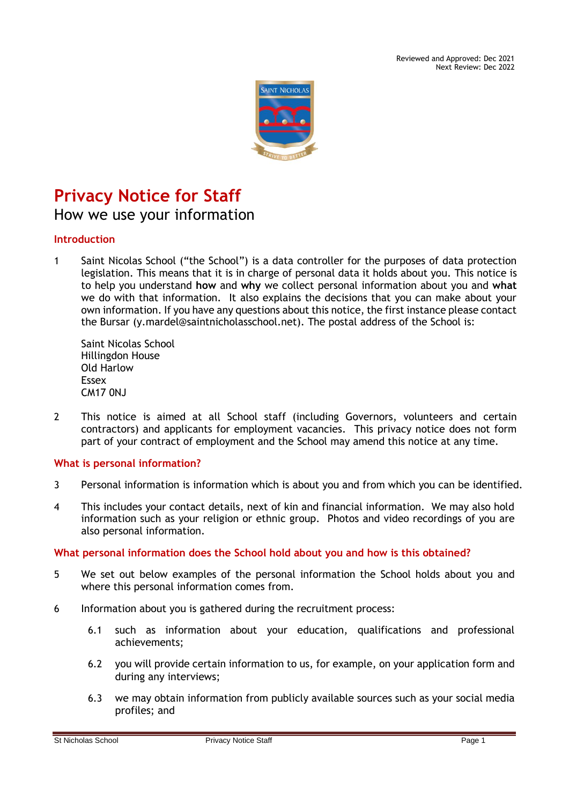Reviewed and Approved: Dec 2021 Next Review: Dec 2022



# **Privacy Notice for Staff**

How we use your information

# **Introduction**

1 Saint Nicolas School ("the School") is a data controller for the purposes of data protection legislation. This means that it is in charge of personal data it holds about you. This notice is to help you understand **how** and **why** we collect personal information about you and **what** we do with that information. It also explains the decisions that you can make about your own information. If you have any questions about this notice, the first instance please contact the Bursar (y.mardel@saintnicholasschool.net). The postal address of the School is:

Saint Nicolas School Hillingdon House Old Harlow Essex CM17 0NJ

2 This notice is aimed at all School staff (including Governors, volunteers and certain contractors) and applicants for employment vacancies. This privacy notice does not form part of your contract of employment and the School may amend this notice at any time.

# **What is personal information?**

- 3 Personal information is information which is about you and from which you can be identified.
- 4 This includes your contact details, next of kin and financial information. We may also hold information such as your religion or ethnic group. Photos and video recordings of you are also personal information.

#### **What personal information does the School hold about you and how is this obtained?**

- 5 We set out below examples of the personal information the School holds about you and where this personal information comes from.
- 6 Information about you is gathered during the recruitment process:
	- 6.1 such as information about your education, qualifications and professional achievements;
	- 6.2 you will provide certain information to us, for example, on your application form and during any interviews;
	- 6.3 we may obtain information from publicly available sources such as your social media profiles; and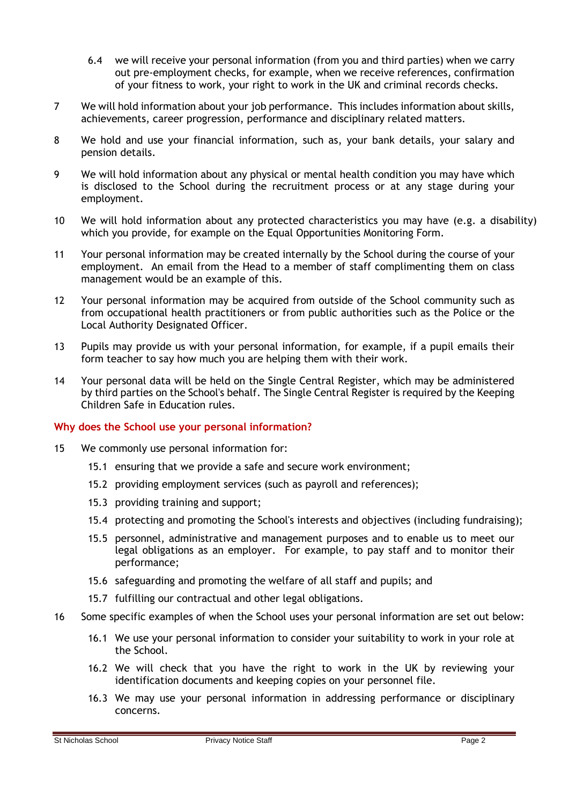- 6.4 we will receive your personal information (from you and third parties) when we carry out pre-employment checks, for example, when we receive references, confirmation of your fitness to work, your right to work in the UK and criminal records checks.
- 7 We will hold information about your job performance. This includes information about skills, achievements, career progression, performance and disciplinary related matters.
- 8 We hold and use your financial information, such as, your bank details, your salary and pension details.
- 9 We will hold information about any physical or mental health condition you may have which is disclosed to the School during the recruitment process or at any stage during your employment.
- 10 We will hold information about any protected characteristics you may have (e.g. a disability) which you provide, for example on the Equal Opportunities Monitoring Form.
- 11 Your personal information may be created internally by the School during the course of your employment. An email from the Head to a member of staff complimenting them on class management would be an example of this.
- 12 Your personal information may be acquired from outside of the School community such as from occupational health practitioners or from public authorities such as the Police or the Local Authority Designated Officer.
- 13 Pupils may provide us with your personal information, for example, if a pupil emails their form teacher to say how much you are helping them with their work.
- 14 Your personal data will be held on the Single Central Register, which may be administered by third parties on the School's behalf. The Single Central Register is required by the Keeping Children Safe in Education rules.

#### **Why does the School use your personal information?**

- 15 We commonly use personal information for:
	- 15.1 ensuring that we provide a safe and secure work environment;
	- 15.2 providing employment services (such as payroll and references);
	- 15.3 providing training and support;
	- 15.4 protecting and promoting the School's interests and objectives (including fundraising);
	- 15.5 personnel, administrative and management purposes and to enable us to meet our legal obligations as an employer. For example, to pay staff and to monitor their performance;
	- 15.6 safeguarding and promoting the welfare of all staff and pupils; and
	- 15.7 fulfilling our contractual and other legal obligations.
- 16 Some specific examples of when the School uses your personal information are set out below:
	- 16.1 We use your personal information to consider your suitability to work in your role at the School.
	- 16.2 We will check that you have the right to work in the UK by reviewing your identification documents and keeping copies on your personnel file.
	- 16.3 We may use your personal information in addressing performance or disciplinary concerns.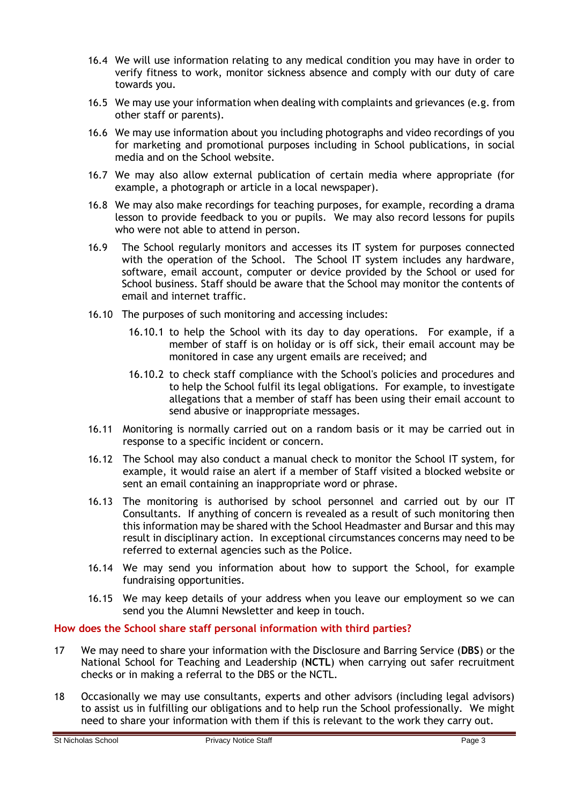- 16.4 We will use information relating to any medical condition you may have in order to verify fitness to work, monitor sickness absence and comply with our duty of care towards you.
- 16.5 We may use your information when dealing with complaints and grievances (e.g. from other staff or parents).
- 16.6 We may use information about you including photographs and video recordings of you for marketing and promotional purposes including in School publications, in social media and on the School website.
- 16.7 We may also allow external publication of certain media where appropriate (for example, a photograph or article in a local newspaper).
- 16.8 We may also make recordings for teaching purposes, for example, recording a drama lesson to provide feedback to you or pupils. We may also record lessons for pupils who were not able to attend in person.
- 16.9 The School regularly monitors and accesses its IT system for purposes connected with the operation of the School. The School IT system includes any hardware, software, email account, computer or device provided by the School or used for School business. Staff should be aware that the School may monitor the contents of email and internet traffic.
- 16.10 The purposes of such monitoring and accessing includes:
	- 16.10.1 to help the School with its day to day operations. For example, if a member of staff is on holiday or is off sick, their email account may be monitored in case any urgent emails are received; and
	- 16.10.2 to check staff compliance with the School's policies and procedures and to help the School fulfil its legal obligations. For example, to investigate allegations that a member of staff has been using their email account to send abusive or inappropriate messages.
- 16.11 Monitoring is normally carried out on a random basis or it may be carried out in response to a specific incident or concern.
- 16.12 The School may also conduct a manual check to monitor the School IT system, for example, it would raise an alert if a member of Staff visited a blocked website or sent an email containing an inappropriate word or phrase.
- 16.13 The monitoring is authorised by school personnel and carried out by our IT Consultants. If anything of concern is revealed as a result of such monitoring then this information may be shared with the School Headmaster and Bursar and this may result in disciplinary action. In exceptional circumstances concerns may need to be referred to external agencies such as the Police.
- 16.14 We may send you information about how to support the School, for example fundraising opportunities.
- 16.15 We may keep details of your address when you leave our employment so we can send you the Alumni Newsletter and keep in touch.

# **How does the School share staff personal information with third parties?**

- 17 We may need to share your information with the Disclosure and Barring Service (**DBS**) or the National School for Teaching and Leadership (**NCTL**) when carrying out safer recruitment checks or in making a referral to the DBS or the NCTL.
- 18 Occasionally we may use consultants, experts and other advisors (including legal advisors) to assist us in fulfilling our obligations and to help run the School professionally. We might need to share your information with them if this is relevant to the work they carry out.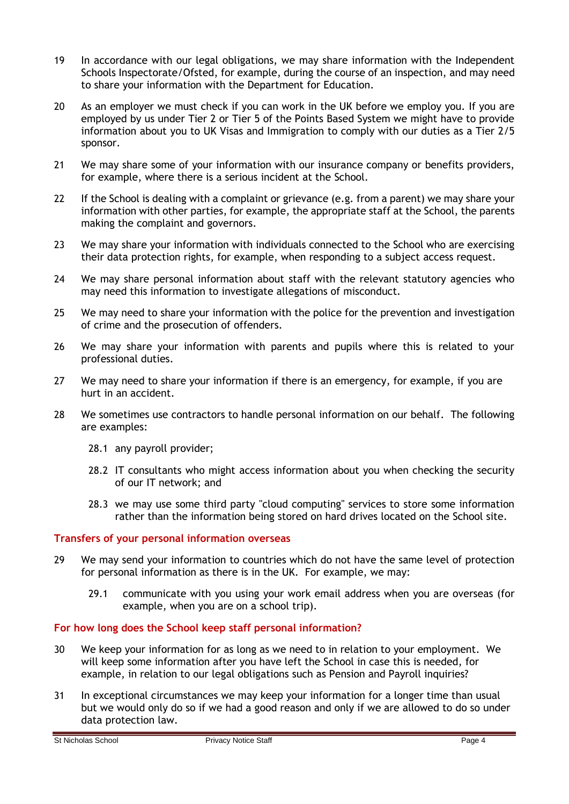- 19 In accordance with our legal obligations, we may share information with the Independent Schools Inspectorate/Ofsted, for example, during the course of an inspection, and may need to share your information with the Department for Education.
- 20 As an employer we must check if you can work in the UK before we employ you. If you are employed by us under Tier 2 or Tier 5 of the Points Based System we might have to provide information about you to UK Visas and Immigration to comply with our duties as a Tier 2/5 sponsor.
- 21 We may share some of your information with our insurance company or benefits providers, for example, where there is a serious incident at the School.
- 22 If the School is dealing with a complaint or grievance (e.g. from a parent) we may share your information with other parties, for example, the appropriate staff at the School, the parents making the complaint and governors.
- 23 We may share your information with individuals connected to the School who are exercising their data protection rights, for example, when responding to a subject access request.
- 24 We may share personal information about staff with the relevant statutory agencies who may need this information to investigate allegations of misconduct.
- 25 We may need to share your information with the police for the prevention and investigation of crime and the prosecution of offenders.
- 26 We may share your information with parents and pupils where this is related to your professional duties.
- 27 We may need to share your information if there is an emergency, for example, if you are hurt in an accident.
- 28 We sometimes use contractors to handle personal information on our behalf. The following are examples:
	- 28.1 any payroll provider;
	- 28.2 IT consultants who might access information about you when checking the security of our IT network; and
	- 28.3 we may use some third party "cloud computing" services to store some information rather than the information being stored on hard drives located on the School site.

#### **Transfers of your personal information overseas**

- 29 We may send your information to countries which do not have the same level of protection for personal information as there is in the UK. For example, we may:
	- 29.1 communicate with you using your work email address when you are overseas (for example, when you are on a school trip).

#### **For how long does the School keep staff personal information?**

- 30 We keep your information for as long as we need to in relation to your employment. We will keep some information after you have left the School in case this is needed, for example, in relation to our legal obligations such as Pension and Payroll inquiries?
- 31 In exceptional circumstances we may keep your information for a longer time than usual but we would only do so if we had a good reason and only if we are allowed to do so under data protection law.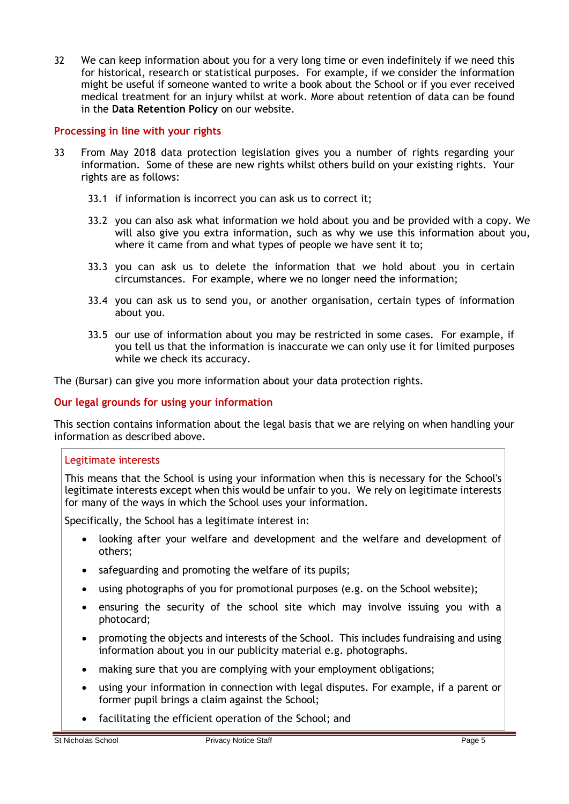32 We can keep information about you for a very long time or even indefinitely if we need this for historical, research or statistical purposes. For example, if we consider the information might be useful if someone wanted to write a book about the School or if you ever received medical treatment for an injury whilst at work. More about retention of data can be found in the **Data Retention Policy** on our website.

## **Processing in line with your rights**

- 33 From May 2018 data protection legislation gives you a number of rights regarding your information. Some of these are new rights whilst others build on your existing rights. Your rights are as follows:
	- 33.1 if information is incorrect you can ask us to correct it;
	- 33.2 you can also ask what information we hold about you and be provided with a copy. We will also give you extra information, such as why we use this information about you, where it came from and what types of people we have sent it to;
	- 33.3 you can ask us to delete the information that we hold about you in certain circumstances. For example, where we no longer need the information;
	- 33.4 you can ask us to send you, or another organisation, certain types of information about you.
	- 33.5 our use of information about you may be restricted in some cases. For example, if you tell us that the information is inaccurate we can only use it for limited purposes while we check its accuracy.

The (Bursar) can give you more information about your data protection rights.

## **Our legal grounds for using your information**

This section contains information about the legal basis that we are relying on when handling your information as described above.

#### Legitimate interests

This means that the School is using your information when this is necessary for the School's legitimate interests except when this would be unfair to you. We rely on legitimate interests for many of the ways in which the School uses your information.

Specifically, the School has a legitimate interest in:

- looking after your welfare and development and the welfare and development of others;
- safeguarding and promoting the welfare of its pupils;
- using photographs of you for promotional purposes (e.g. on the School website);
- ensuring the security of the school site which may involve issuing you with a photocard;
- promoting the objects and interests of the School. This includes fundraising and using information about you in our publicity material e.g. photographs.
- making sure that you are complying with your employment obligations;
- using your information in connection with legal disputes. For example, if a parent or former pupil brings a claim against the School;
- facilitating the efficient operation of the School; and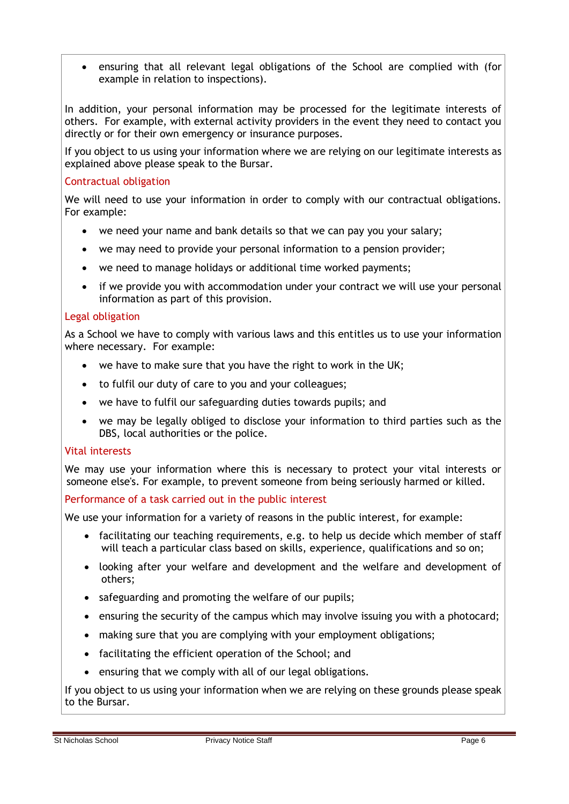• ensuring that all relevant legal obligations of the School are complied with (for example in relation to inspections).

In addition, your personal information may be processed for the legitimate interests of others. For example, with external activity providers in the event they need to contact you directly or for their own emergency or insurance purposes.

If you object to us using your information where we are relying on our legitimate interests as explained above please speak to the Bursar.

# Contractual obligation

We will need to use your information in order to comply with our contractual obligations. For example:

- we need your name and bank details so that we can pay you your salary;
- we may need to provide your personal information to a pension provider;
- we need to manage holidays or additional time worked payments;
- if we provide you with accommodation under your contract we will use your personal information as part of this provision.

#### Legal obligation

As a School we have to comply with various laws and this entitles us to use your information where necessary. For example:

- we have to make sure that you have the right to work in the UK;
- to fulfil our duty of care to you and your colleagues;
- we have to fulfil our safeguarding duties towards pupils; and
- we may be legally obliged to disclose your information to third parties such as the DBS, local authorities or the police.

#### Vital interests

We may use your information where this is necessary to protect your vital interests or someone else's. For example, to prevent someone from being seriously harmed or killed.

#### Performance of a task carried out in the public interest

We use your information for a variety of reasons in the public interest, for example:

- facilitating our teaching requirements, e.g. to help us decide which member of staff will teach a particular class based on skills, experience, qualifications and so on;
- looking after your welfare and development and the welfare and development of others;
- safeguarding and promoting the welfare of our pupils;
- ensuring the security of the campus which may involve issuing you with a photocard;
- making sure that you are complying with your employment obligations;
- facilitating the efficient operation of the School; and
- ensuring that we comply with all of our legal obligations.

If you object to us using your information when we are relying on these grounds please speak to the Bursar.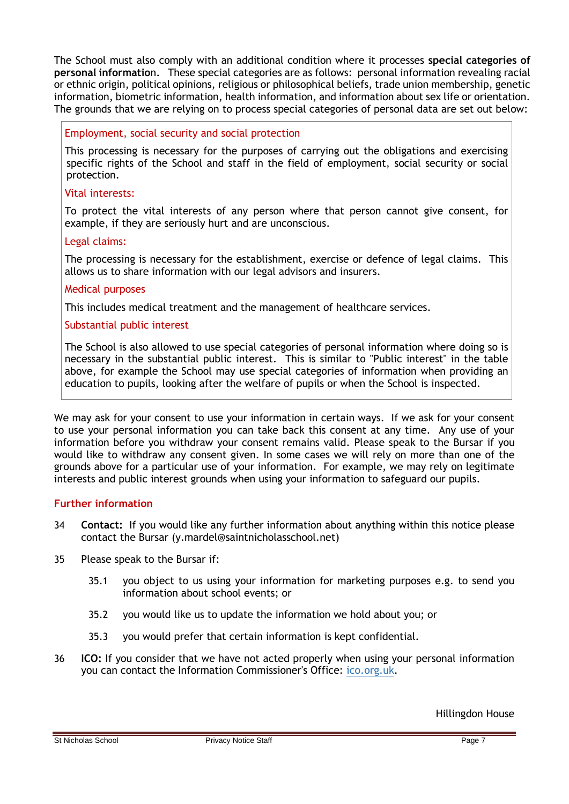The School must also comply with an additional condition where it processes **special categories of personal informatio**n. These special categories are as follows: personal information revealing racial or ethnic origin, political opinions, religious or philosophical beliefs, trade union membership, genetic information, biometric information, health information, and information about sex life or orientation. The grounds that we are relying on to process special categories of personal data are set out below:

## Employment, social security and social protection

This processing is necessary for the purposes of carrying out the obligations and exercising specific rights of the School and staff in the field of employment, social security or social protection.

#### Vital interests:

To protect the vital interests of any person where that person cannot give consent, for example, if they are seriously hurt and are unconscious.

# Legal claims:

The processing is necessary for the establishment, exercise or defence of legal claims. This allows us to share information with our legal advisors and insurers.

#### Medical purposes

This includes medical treatment and the management of healthcare services.

# Substantial public interest

The School is also allowed to use special categories of personal information where doing so is necessary in the substantial public interest. This is similar to "Public interest" in the table above, for example the School may use special categories of information when providing an education to pupils, looking after the welfare of pupils or when the School is inspected.

We may ask for your consent to use your information in certain ways. If we ask for your consent to use your personal information you can take back this consent at any time. Any use of your information before you withdraw your consent remains valid. Please speak to the Bursar if you would like to withdraw any consent given. In some cases we will rely on more than one of the grounds above for a particular use of your information. For example, we may rely on legitimate interests and public interest grounds when using your information to safeguard our pupils.

#### **Further information**

- 34 **Contact:** If you would like any further information about anything within this notice please contact the Bursar (y.mardel@saintnicholasschool.net)
- 35 Please speak to the Bursar if:
	- 35.1 you object to us using your information for marketing purposes e.g. to send you information about school events; or
	- 35.2 you would like us to update the information we hold about you; or
	- 35.3 you would prefer that certain information is kept confidential.
- 36 **ICO:** If you consider that we have not acted properly when using your personal information you can contact the Information Commissioner's Office: [ico.org.uk.](https://ico.org.uk/)

Hillingdon House